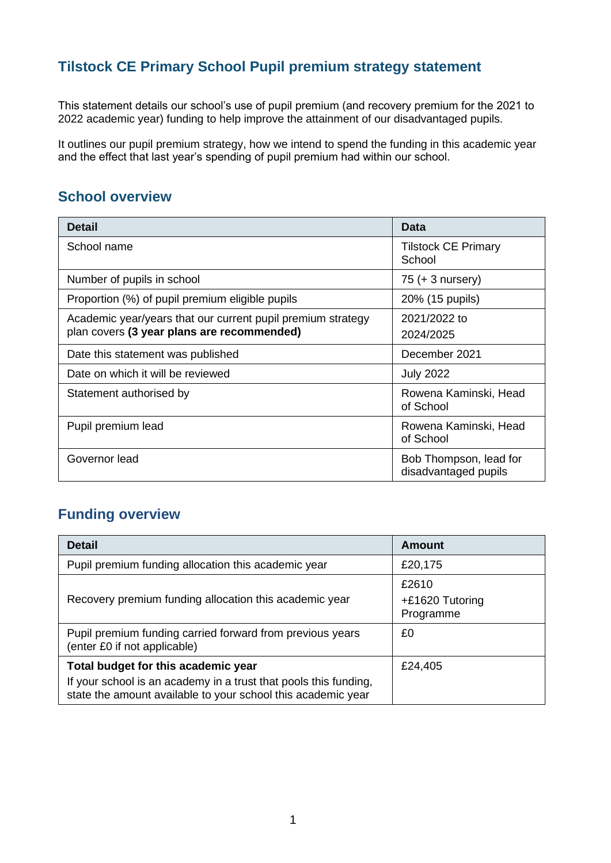### **Tilstock CE Primary School Pupil premium strategy statement**

This statement details our school's use of pupil premium (and recovery premium for the 2021 to 2022 academic year) funding to help improve the attainment of our disadvantaged pupils.

It outlines our pupil premium strategy, how we intend to spend the funding in this academic year and the effect that last year's spending of pupil premium had within our school.

#### **School overview**

| <b>Detail</b>                                                                                             | Data                                           |
|-----------------------------------------------------------------------------------------------------------|------------------------------------------------|
| School name                                                                                               | <b>Tilstock CE Primary</b><br>School           |
| Number of pupils in school                                                                                | $75 (+ 3$ nursery)                             |
| Proportion (%) of pupil premium eligible pupils                                                           | 20% (15 pupils)                                |
| Academic year/years that our current pupil premium strategy<br>plan covers (3 year plans are recommended) | 2021/2022 to<br>2024/2025                      |
| Date this statement was published                                                                         | December 2021                                  |
| Date on which it will be reviewed                                                                         | <b>July 2022</b>                               |
| Statement authorised by                                                                                   | Rowena Kaminski, Head<br>of School             |
| Pupil premium lead                                                                                        | Rowena Kaminski, Head<br>of School             |
| Governor lead                                                                                             | Bob Thompson, lead for<br>disadvantaged pupils |

### **Funding overview**

| <b>Detail</b>                                                                                                                    | Amount                                  |
|----------------------------------------------------------------------------------------------------------------------------------|-----------------------------------------|
| Pupil premium funding allocation this academic year                                                                              | £20,175                                 |
| Recovery premium funding allocation this academic year                                                                           | £2610<br>$+£1620$ Tutoring<br>Programme |
| Pupil premium funding carried forward from previous years<br>(enter £0 if not applicable)                                        | £0                                      |
| Total budget for this academic year                                                                                              | £24,405                                 |
| If your school is an academy in a trust that pools this funding,<br>state the amount available to your school this academic year |                                         |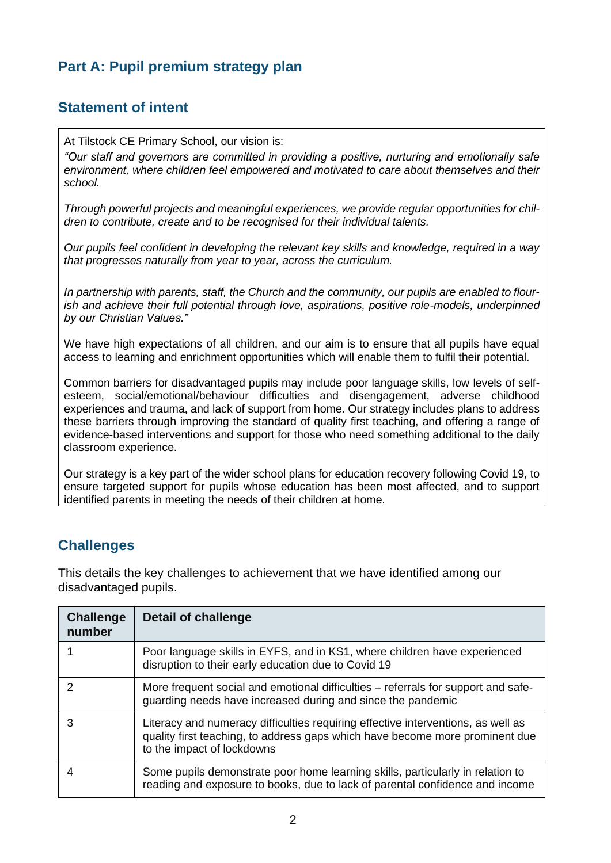### **Part A: Pupil premium strategy plan**

#### **Statement of intent**

At Tilstock CE Primary School, our vision is:

*"Our staff and governors are committed in providing a positive, nurturing and emotionally safe environment, where children feel empowered and motivated to care about themselves and their school.*

*Through powerful projects and meaningful experiences, we provide regular opportunities for children to contribute, create and to be recognised for their individual talents.*

*Our pupils feel confident in developing the relevant key skills and knowledge, required in a way that progresses naturally from year to year, across the curriculum.*

*In partnership with parents, staff, the Church and the community, our pupils are enabled to flourish and achieve their full potential through love, aspirations, positive role-models, underpinned by our Christian Values."*

We have high expectations of all children, and our aim is to ensure that all pupils have equal access to learning and enrichment opportunities which will enable them to fulfil their potential.

Common barriers for disadvantaged pupils may include poor language skills, low levels of selfesteem, social/emotional/behaviour difficulties and disengagement, adverse childhood experiences and trauma, and lack of support from home. Our strategy includes plans to address these barriers through improving the standard of quality first teaching, and offering a range of evidence-based interventions and support for those who need something additional to the daily classroom experience.

Our strategy is a key part of the wider school plans for education recovery following Covid 19, to ensure targeted support for pupils whose education has been most affected, and to support identified parents in meeting the needs of their children at home.

#### **Challenges**

This details the key challenges to achievement that we have identified among our disadvantaged pupils.

| <b>Challenge</b><br>number | <b>Detail of challenge</b>                                                                                                                                                                     |
|----------------------------|------------------------------------------------------------------------------------------------------------------------------------------------------------------------------------------------|
|                            | Poor language skills in EYFS, and in KS1, where children have experienced<br>disruption to their early education due to Covid 19                                                               |
| $\mathcal{P}$              | More frequent social and emotional difficulties – referrals for support and safe-<br>guarding needs have increased during and since the pandemic                                               |
| 3                          | Literacy and numeracy difficulties requiring effective interventions, as well as<br>quality first teaching, to address gaps which have become more prominent due<br>to the impact of lockdowns |
|                            | Some pupils demonstrate poor home learning skills, particularly in relation to<br>reading and exposure to books, due to lack of parental confidence and income                                 |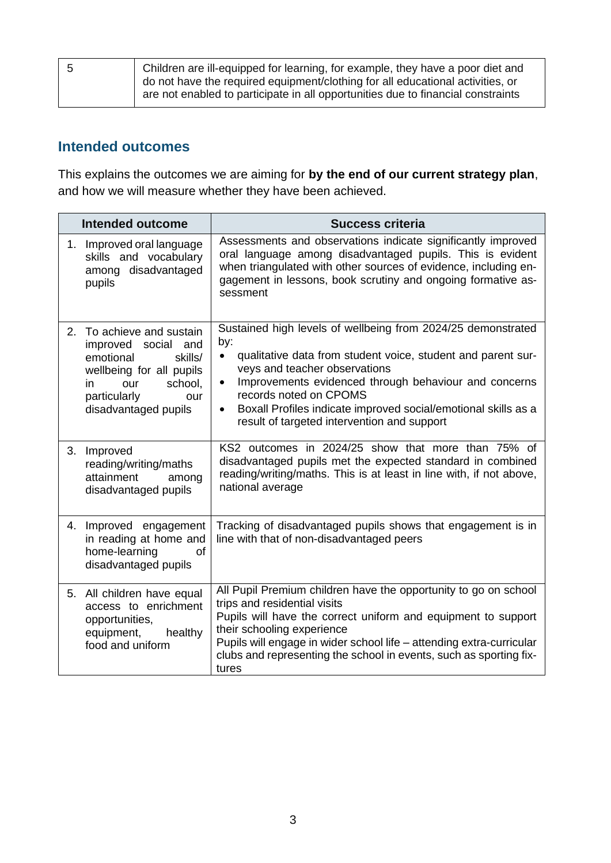| Children are ill-equipped for learning, for example, they have a poor diet and<br>do not have the required equipment/clothing for all educational activities, or |
|------------------------------------------------------------------------------------------------------------------------------------------------------------------|
| are not enabled to participate in all opportunities due to financial constraints                                                                                 |

#### **Intended outcomes**

This explains the outcomes we are aiming for **by the end of our current strategy plan**, and how we will measure whether they have been achieved.

|    | <b>Intended outcome</b>                                                                                                                                                  | <b>Success criteria</b>                                                                                                                                                                                                                                                                                                                                                                                         |
|----|--------------------------------------------------------------------------------------------------------------------------------------------------------------------------|-----------------------------------------------------------------------------------------------------------------------------------------------------------------------------------------------------------------------------------------------------------------------------------------------------------------------------------------------------------------------------------------------------------------|
|    | 1. Improved oral language<br>skills and vocabulary<br>among disadvantaged<br>pupils                                                                                      | Assessments and observations indicate significantly improved<br>oral language among disadvantaged pupils. This is evident<br>when triangulated with other sources of evidence, including en-<br>gagement in lessons, book scrutiny and ongoing formative as-<br>sessment                                                                                                                                        |
| 2. | To achieve and sustain<br>improved social and<br>emotional<br>skills/<br>wellbeing for all pupils<br>school,<br>in<br>our<br>particularly<br>our<br>disadvantaged pupils | Sustained high levels of wellbeing from 2024/25 demonstrated<br>by:<br>qualitative data from student voice, student and parent sur-<br>$\bullet$<br>veys and teacher observations<br>Improvements evidenced through behaviour and concerns<br>$\bullet$<br>records noted on CPOMS<br>Boxall Profiles indicate improved social/emotional skills as a<br>$\bullet$<br>result of targeted intervention and support |
| 3. | Improved<br>reading/writing/maths<br>attainment<br>among<br>disadvantaged pupils                                                                                         | KS2 outcomes in 2024/25 show that more than 75% of<br>disadvantaged pupils met the expected standard in combined<br>reading/writing/maths. This is at least in line with, if not above,<br>national average                                                                                                                                                                                                     |
| 4. | Improved engagement<br>in reading at home and<br>home-learning<br>οf<br>disadvantaged pupils                                                                             | Tracking of disadvantaged pupils shows that engagement is in<br>line with that of non-disadvantaged peers                                                                                                                                                                                                                                                                                                       |
|    | 5. All children have equal<br>access to enrichment<br>opportunities,<br>equipment,<br>healthy<br>food and uniform                                                        | All Pupil Premium children have the opportunity to go on school<br>trips and residential visits<br>Pupils will have the correct uniform and equipment to support<br>their schooling experience<br>Pupils will engage in wider school life - attending extra-curricular<br>clubs and representing the school in events, such as sporting fix-<br>tures                                                           |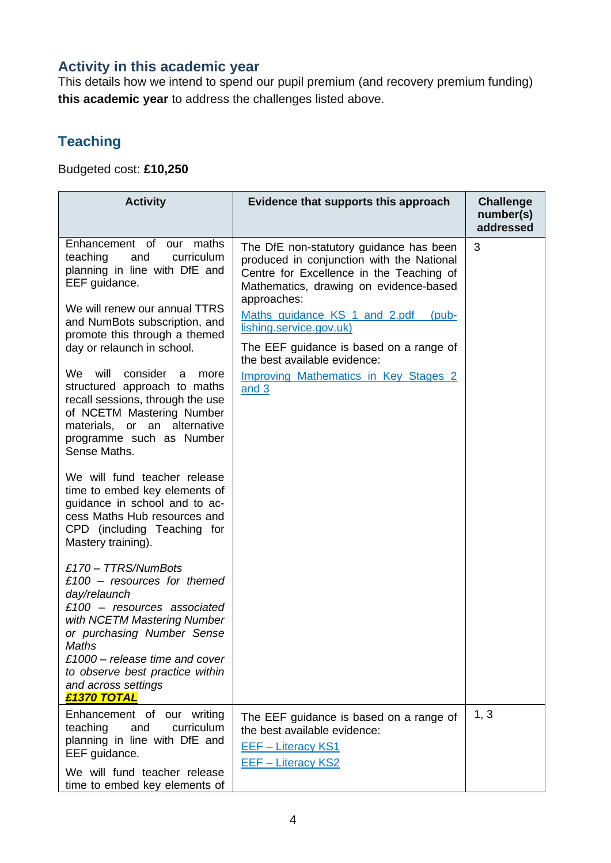### **Activity in this academic year**

This details how we intend to spend our pupil premium (and recovery premium funding) **this academic year** to address the challenges listed above.

### **Teaching**

Budgeted cost: **£10,250**

| <b>Activity</b>                                                                                                                                                                                                                                                                                                                                                                                                                                                 | Evidence that supports this approach                                                                                                                                                                                                                                                                                                                                                              | <b>Challenge</b><br>number(s)<br>addressed |
|-----------------------------------------------------------------------------------------------------------------------------------------------------------------------------------------------------------------------------------------------------------------------------------------------------------------------------------------------------------------------------------------------------------------------------------------------------------------|---------------------------------------------------------------------------------------------------------------------------------------------------------------------------------------------------------------------------------------------------------------------------------------------------------------------------------------------------------------------------------------------------|--------------------------------------------|
| Enhancement of our maths<br>teaching<br>curriculum<br>and<br>planning in line with DfE and<br>EEF guidance.<br>We will renew our annual TTRS<br>and NumBots subscription, and<br>promote this through a themed<br>day or relaunch in school.<br>We will<br>consider<br>- a<br>more<br>structured approach to maths<br>recall sessions, through the use<br>of NCETM Mastering Number<br>materials, or an alternative<br>programme such as Number<br>Sense Maths. | The DfE non-statutory guidance has been<br>produced in conjunction with the National<br>Centre for Excellence in the Teaching of<br>Mathematics, drawing on evidence-based<br>approaches:<br>Maths guidance KS 1 and 2.pdf (pub-<br>lishing.service.gov.uk)<br>The EEF guidance is based on a range of<br>the best available evidence:<br><b>Improving Mathematics in Key Stages 2</b><br>and $3$ | 3                                          |
| We will fund teacher release<br>time to embed key elements of<br>guidance in school and to ac-<br>cess Maths Hub resources and<br>CPD (including Teaching for<br>Mastery training).                                                                                                                                                                                                                                                                             |                                                                                                                                                                                                                                                                                                                                                                                                   |                                            |
| £170 - TTRS/NumBots<br>$£100 - resources for themed$<br>day/relaunch<br>$£100 - resources$ associated<br>with NCETM Mastering Number<br>or purchasing Number Sense<br>Maths<br>$£1000 - release time and cover$<br>to observe best practice within<br>and across settings<br>£1370 TOTAL                                                                                                                                                                        |                                                                                                                                                                                                                                                                                                                                                                                                   |                                            |
| Enhancement of our writing<br>teaching<br>curriculum<br>and<br>planning in line with DfE and<br>EEF guidance.<br>We will fund teacher release<br>time to embed key elements of                                                                                                                                                                                                                                                                                  | The EEF guidance is based on a range of<br>the best available evidence:<br>EEF - Literacy KS1<br><b>EEF - Literacy KS2</b>                                                                                                                                                                                                                                                                        | 1, 3                                       |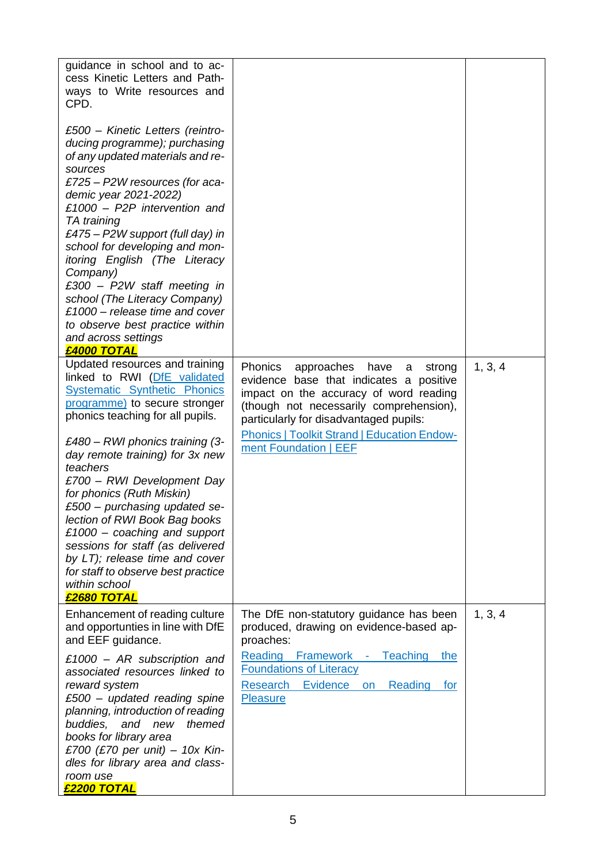| guidance in school and to ac-<br>cess Kinetic Letters and Path-<br>ways to Write resources and<br>CPD.                                                                                                                                                                                                                                                                                                                                                                                                                                                                       |                                                                                                                                                                                                                                                                                                              |         |
|------------------------------------------------------------------------------------------------------------------------------------------------------------------------------------------------------------------------------------------------------------------------------------------------------------------------------------------------------------------------------------------------------------------------------------------------------------------------------------------------------------------------------------------------------------------------------|--------------------------------------------------------------------------------------------------------------------------------------------------------------------------------------------------------------------------------------------------------------------------------------------------------------|---------|
| £500 - Kinetic Letters (reintro-<br>ducing programme); purchasing<br>of any updated materials and re-<br>sources<br>£725 – P2W resources (for aca-<br>demic year 2021-2022)<br>£1000 - P2P intervention and<br>TA training<br>£475 - P2W support (full day) in<br>school for developing and mon-<br>itoring English (The Literacy<br>Company)<br>£300 - P2W staff meeting in<br>school (The Literacy Company)<br>£1000 - release time and cover<br>to observe best practice within<br>and across settings<br>£4000 TOTAL                                                     |                                                                                                                                                                                                                                                                                                              |         |
| Updated resources and training<br>linked to RWI (DfE validated<br><b>Systematic Synthetic Phonics</b><br>programme) to secure stronger<br>phonics teaching for all pupils.<br>£480 - RWI phonics training (3-<br>day remote training) for 3x new<br>teachers<br>£700 - RWI Development Day<br>for phonics (Ruth Miskin)<br>£500 - purchasing updated se-<br>lection of RWI Book Bag books<br>£1000 – coaching and support<br>sessions for staff (as delivered<br>by LT); release time and cover<br>for staff to observe best practice<br>within school<br><b>£2680 TOTAL</b> | <b>Phonics</b><br>approaches<br>have<br>strong<br>a<br>evidence base that indicates a positive<br>impact on the accuracy of word reading<br>(though not necessarily comprehension),<br>particularly for disadvantaged pupils:<br><b>Phonics   Toolkit Strand   Education Endow-</b><br>ment Foundation   EEF | 1, 3, 4 |
| Enhancement of reading culture<br>and opportunties in line with DfE<br>and EEF guidance.<br>£1000 - AR subscription and<br>associated resources linked to<br>reward system<br>$£500 - updated$ reading spine<br>planning, introduction of reading<br>themed<br>buddies,<br>and<br>new<br>books for library area<br>£700 (£70 per unit) – 10x Kin-<br>dles for library area and class-<br>room use<br>£2200 TOTAL                                                                                                                                                             | The DfE non-statutory guidance has been<br>produced, drawing on evidence-based ap-<br>proaches:<br><b>Reading Framework -</b><br>Teaching<br>the<br><b>Foundations of Literacy</b><br>Evidence<br><b>Research</b><br>Reading<br>on<br>for<br><b>Pleasure</b>                                                 | 1, 3, 4 |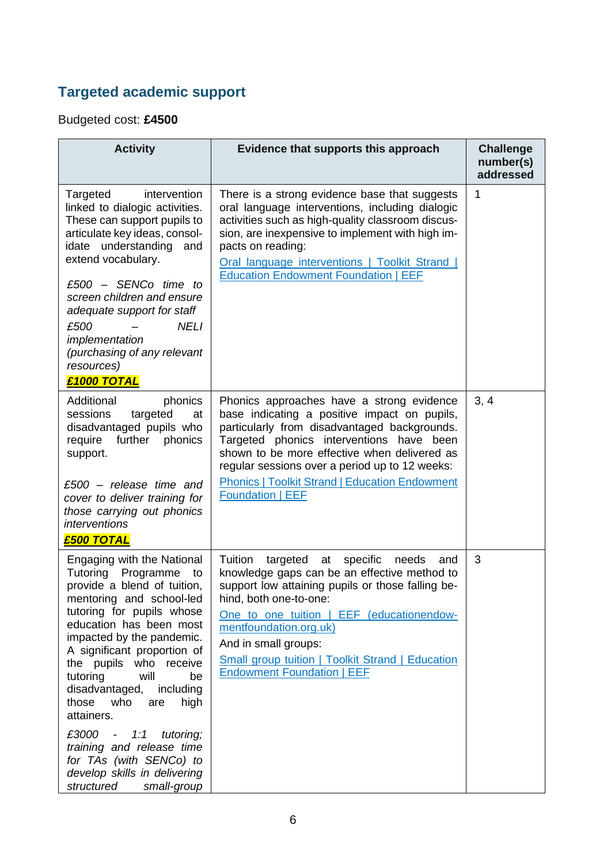## **Targeted academic support**

Budgeted cost: **£4500**

| <b>Activity</b>                                                                                                                                                                                                                                                                                                                                                                                                                                                                                                  | Evidence that supports this approach                                                                                                                                                                                                                                                                                                                                             | <b>Challenge</b><br>number(s)<br>addressed |
|------------------------------------------------------------------------------------------------------------------------------------------------------------------------------------------------------------------------------------------------------------------------------------------------------------------------------------------------------------------------------------------------------------------------------------------------------------------------------------------------------------------|----------------------------------------------------------------------------------------------------------------------------------------------------------------------------------------------------------------------------------------------------------------------------------------------------------------------------------------------------------------------------------|--------------------------------------------|
| Targeted<br>intervention<br>linked to dialogic activities.<br>These can support pupils to<br>articulate key ideas, consol-<br>idate understanding<br>and<br>extend vocabulary.<br>$£500 -$ SENCo time to<br>screen children and ensure<br>adequate support for staff<br><b>NELI</b><br>£500<br>implementation<br>(purchasing of any relevant<br>resources)<br>£1000 TOTAL                                                                                                                                        | There is a strong evidence base that suggests<br>oral language interventions, including dialogic<br>activities such as high-quality classroom discus-<br>sion, are inexpensive to implement with high im-<br>pacts on reading:<br>Oral language interventions   Toolkit Strand  <br><b>Education Endowment Foundation   EEF</b>                                                  | 1                                          |
| Additional<br>phonics<br>sessions<br>targeted<br>at<br>disadvantaged pupils who<br>further<br>require<br>phonics<br>support.<br>$£500 - release time$ and<br>cover to deliver training for<br>those carrying out phonics<br><i>interventions</i><br>£500 TOTAL                                                                                                                                                                                                                                                   | Phonics approaches have a strong evidence<br>base indicating a positive impact on pupils,<br>particularly from disadvantaged backgrounds.<br>Targeted phonics interventions have been<br>shown to be more effective when delivered as<br>regular sessions over a period up to 12 weeks:<br><b>Phonics   Toolkit Strand   Education Endowment</b><br><b>Foundation   EEF</b>      | 3, 4                                       |
| Engaging with the National<br>Tutoring Programme to<br>provide a blend of tuition,<br>mentoring and school-led<br>tutoring for pupils whose<br>education has been most<br>impacted by the pandemic.<br>A significant proportion of<br>the pupils who receive<br>tutoring<br>will<br>be<br>disadvantaged,<br>including<br>those who<br>high<br>are<br>attainers.<br>£3000 - 1:1<br>tutoring;<br>training and release time<br>for TAs (with SENCo) to<br>develop skills in delivering<br>structured<br>small-group | Tuition<br>targeted at<br>specific<br>needs<br>and<br>knowledge gaps can be an effective method to<br>support low attaining pupils or those falling be-<br>hind, both one-to-one:<br>One to one tuition   EEF (educationendow-<br>mentfoundation.org.uk)<br>And in small groups:<br><b>Small group tuition   Toolkit Strand   Education</b><br><b>Endowment Foundation   EEF</b> | 3                                          |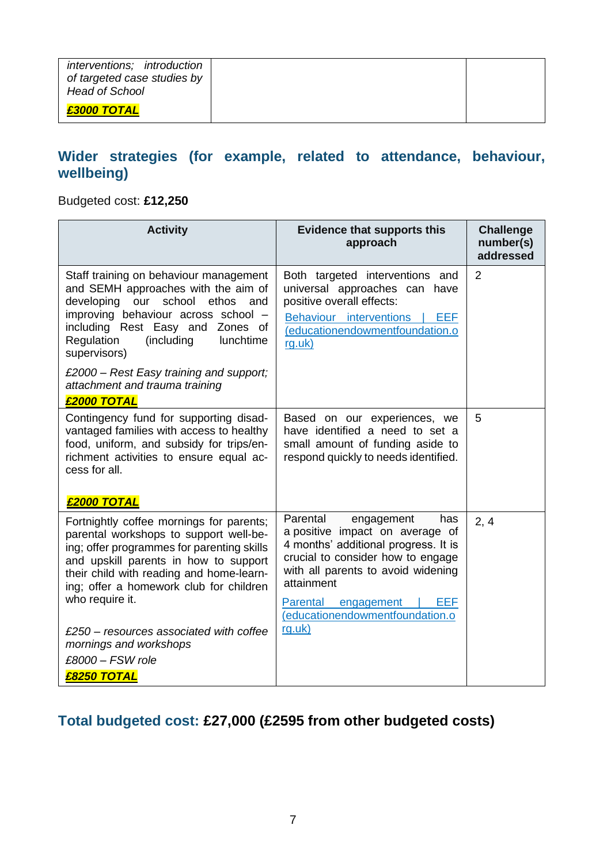| interventions; introduction<br>of targeted case studies by<br><b>Head of School</b> |  |
|-------------------------------------------------------------------------------------|--|
| £3000 TOTAL                                                                         |  |

#### **Wider strategies (for example, related to attendance, behaviour, wellbeing)**

#### Budgeted cost: **£12,250**

| <b>Activity</b>                                                                                                                                                                                                                                                                     | <b>Evidence that supports this</b><br>approach                                                                                                                                                                                            | <b>Challenge</b><br>number(s)<br>addressed |
|-------------------------------------------------------------------------------------------------------------------------------------------------------------------------------------------------------------------------------------------------------------------------------------|-------------------------------------------------------------------------------------------------------------------------------------------------------------------------------------------------------------------------------------------|--------------------------------------------|
| Staff training on behaviour management<br>and SEMH approaches with the aim of<br>developing our school<br>ethos and<br>improving behaviour across school -<br>including Rest Easy and Zones of<br>Regulation<br>(including<br>lunchtime<br>supervisors)                             | Both targeted interventions and<br>universal approaches can have<br>positive overall effects:<br>Behaviour interventions<br><b>EEF</b><br>(educationendowmentfoundation.o<br>rg.uk)                                                       | 2                                          |
| £2000 - Rest Easy training and support;<br>attachment and trauma training<br>£2000 TOTAL                                                                                                                                                                                            |                                                                                                                                                                                                                                           |                                            |
| Contingency fund for supporting disad-<br>vantaged families with access to healthy<br>food, uniform, and subsidy for trips/en-<br>richment activities to ensure equal ac-<br>cess for all.<br><b>£2000 TOTAL</b>                                                                    | Based on our experiences, we<br>have identified a need to set a<br>small amount of funding aside to<br>respond quickly to needs identified.                                                                                               | 5                                          |
| Fortnightly coffee mornings for parents;<br>parental workshops to support well-be-<br>ing; offer programmes for parenting skills<br>and upskill parents in how to support<br>their child with reading and home-learn-<br>ing; offer a homework club for children<br>who require it. | Parental<br>engagement<br>has<br>a positive impact on average of<br>4 months' additional progress. It is<br>crucial to consider how to engage<br>with all parents to avoid widening<br>attainment<br><b>EEF</b><br>Parental<br>engagement | 2, 4                                       |
| £250 – resources associated with coffee<br>mornings and workshops<br>£8000 - FSW role<br><b>£8250 TOTAL</b>                                                                                                                                                                         | (educationendowmentfoundation.o<br>rg.uk)                                                                                                                                                                                                 |                                            |

### **Total budgeted cost: £27,000 (£2595 from other budgeted costs)**